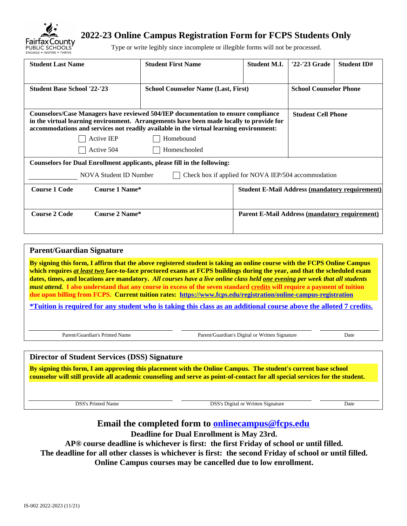

# **2022-23 Online Campus Registration Form for FCPS Students Only**

Type or write legibly since incomplete or illegible forms will not be processed.

| <b>Student Last Name</b>                                                                                                                                                                                                                                               | <b>Student First Name</b>                           | <b>Student M.I.</b>                                   | '22-'23 Grade                 | <b>Student ID#</b> |
|------------------------------------------------------------------------------------------------------------------------------------------------------------------------------------------------------------------------------------------------------------------------|-----------------------------------------------------|-------------------------------------------------------|-------------------------------|--------------------|
| <b>Student Base School '22-'23</b>                                                                                                                                                                                                                                     | <b>School Counselor Name (Last, First)</b>          |                                                       | <b>School Counselor Phone</b> |                    |
| Counselors/Case Managers have reviewed 504/IEP documentation to ensure compliance<br>in the virtual learning environment. Arrangements have been made locally to provide for<br>accommodations and services not readily available in the virtual learning environment: |                                                     |                                                       | <b>Student Cell Phone</b>     |                    |
| <b>Active IEP</b>                                                                                                                                                                                                                                                      | Homebound                                           |                                                       |                               |                    |
| Active 504                                                                                                                                                                                                                                                             | Homeschooled                                        |                                                       |                               |                    |
| <b>Counselors for Dual Enrollment applicants, please fill in the following:</b>                                                                                                                                                                                        |                                                     |                                                       |                               |                    |
| <b>NOVA Student ID Number</b>                                                                                                                                                                                                                                          | Check box if applied for NOVA IEP/504 accommodation |                                                       |                               |                    |
| Course 1 Name*<br><b>Course 1 Code</b>                                                                                                                                                                                                                                 |                                                     | <b>Student E-Mail Address (mandatory requirement)</b> |                               |                    |
|                                                                                                                                                                                                                                                                        |                                                     |                                                       |                               |                    |
| <b>Course 2 Code</b><br>Course 2 Name*                                                                                                                                                                                                                                 |                                                     | <b>Parent E-Mail Address (mandatory requirement)</b>  |                               |                    |
|                                                                                                                                                                                                                                                                        |                                                     |                                                       |                               |                    |

| <b>Parent/Guardian Signature</b>                                                                                                                                                                                                                                                                                                                                                                                                                                                                                                                                                                                                        |                                                |      |
|-----------------------------------------------------------------------------------------------------------------------------------------------------------------------------------------------------------------------------------------------------------------------------------------------------------------------------------------------------------------------------------------------------------------------------------------------------------------------------------------------------------------------------------------------------------------------------------------------------------------------------------------|------------------------------------------------|------|
| By signing this form, I affirm that the above registered student is taking an online course with the FCPS Online Campus<br>which requires at least two face-to-face proctored exams at FCPS buildings during the year, and that the scheduled exam<br>dates, times, and locations are mandatory. All courses have a live online class held one evening per week that all students<br><i>must attend.</i> I also understand that any course in excess of the seven standard credits will require a payment of tuition<br>due upon billing from FCPS. Current tuition rates: https://www.fcps.edu/registration/online-campus-registration |                                                |      |
| *Tuition is required for any student who is taking this class as an additional course above the alloted 7 credits.                                                                                                                                                                                                                                                                                                                                                                                                                                                                                                                      |                                                |      |
|                                                                                                                                                                                                                                                                                                                                                                                                                                                                                                                                                                                                                                         |                                                |      |
| Parent/Guardian's Printed Name                                                                                                                                                                                                                                                                                                                                                                                                                                                                                                                                                                                                          | Parent/Guardian's Digital or Written Signature | Date |
|                                                                                                                                                                                                                                                                                                                                                                                                                                                                                                                                                                                                                                         |                                                |      |
| <b>Director of Student Services (DSS) Signature</b>                                                                                                                                                                                                                                                                                                                                                                                                                                                                                                                                                                                     |                                                |      |
| By signing this form, I am approving this placement with the Online Campus. The student's current base school                                                                                                                                                                                                                                                                                                                                                                                                                                                                                                                           |                                                |      |

**counselor will still provide all academic counseling and serve as point-of-contact for all special services for the student.**

DSS's Printed Name DSS's Digital or Written Signature Date

## **Email the completed form to [onlinecampus@fcps.edu](mailto:onlinecampus@fcps.edu)**

**Deadline for Dual Enrollment is May 23rd.** 

**AP® course deadline is whichever is first: the first Friday of school or until filled.** 

**The deadline for all other classes is whichever is first: the second Friday of school or until filled.** 

**Online Campus courses may be cancelled due to low enrollment.**